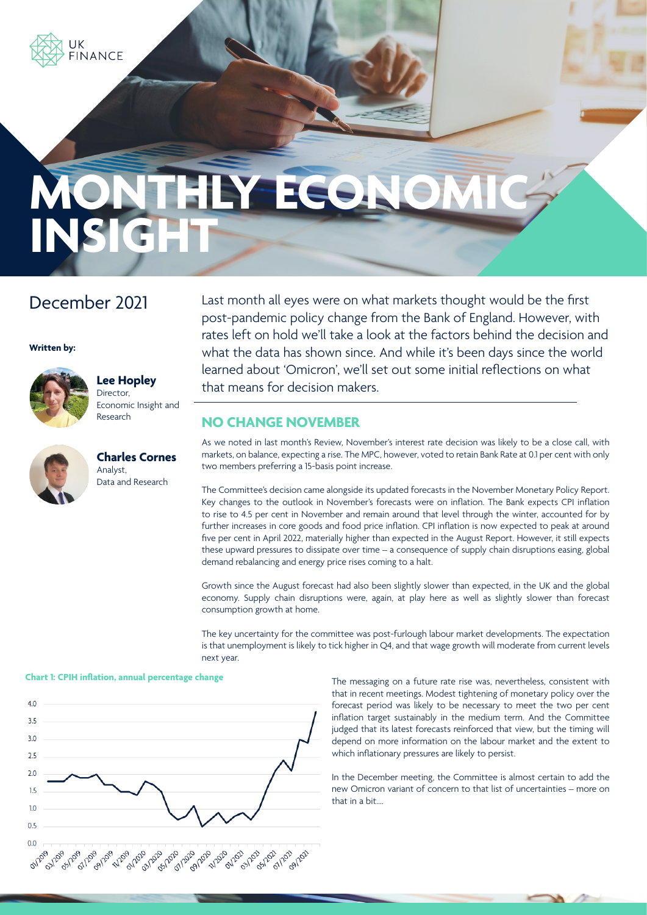

# **MONTHLY ECONOMIC INSIG**

## December 2021

**Written by:**



# **Lee Hopley**

Director, Economic Insight and Research



**Charles Cornes** Analyst, Data and Research

Last month all eyes were on what markets thought would be the first post-pandemic policy change from the Bank of England. However, with rates left on hold we'll take a look at the factors behind the decision and what the data has shown since. And while it's been days since the world learned about 'Omicron', we'll set out some initial reflections on what that means for decision makers.

#### **NO CHANGE NOVEMBER**

As we noted in last month's Review, November's interest rate decision was likely to be a close call, with markets, on balance, expecting a rise. The MPC, however, voted to retain Bank Rate at 0.1 per cent with only two members preferring a 15-basis point increase.

The Committee's decision came alongside its updated forecasts in the November Monetary Policy Report. Key changes to the outlook in November's forecasts were on inflation. The Bank expects CPI inflation to rise to 4.5 per cent in November and remain around that level through the winter, accounted for by further increases in core goods and food price inflation. CPI inflation is now expected to peak at around five per cent in April 2022, materially higher than expected in the August Report. However, it still expects these upward pressures to dissipate over time – a consequence of supply chain disruptions easing, global demand rebalancing and energy price rises coming to a halt.

Growth since the August forecast had also been slightly slower than expected, in the UK and the global economy. Supply chain disruptions were, again, at play here as well as slightly slower than forecast consumption growth at home.

The key uncertainty for the committee was post-furlough labour market developments. The expectation is that unemployment is likely to tick higher in Q4, and that wage growth will moderate from current levels next year.

#### **Chart 1: CPIH inflation, annual percentage change**



The messaging on a future rate rise was, nevertheless, consistent with that in recent meetings. Modest tightening of monetary policy over the forecast period was likely to be necessary to meet the two per cent inflation target sustainably in the medium term. And the Committee judged that its latest forecasts reinforced that view, but the timing will depend on more information on the labour market and the extent to which inflationary pressures are likely to persist.

In the December meeting, the Committee is almost certain to add the new Omicron variant of concern to that list of uncertainties – more on that in a bit….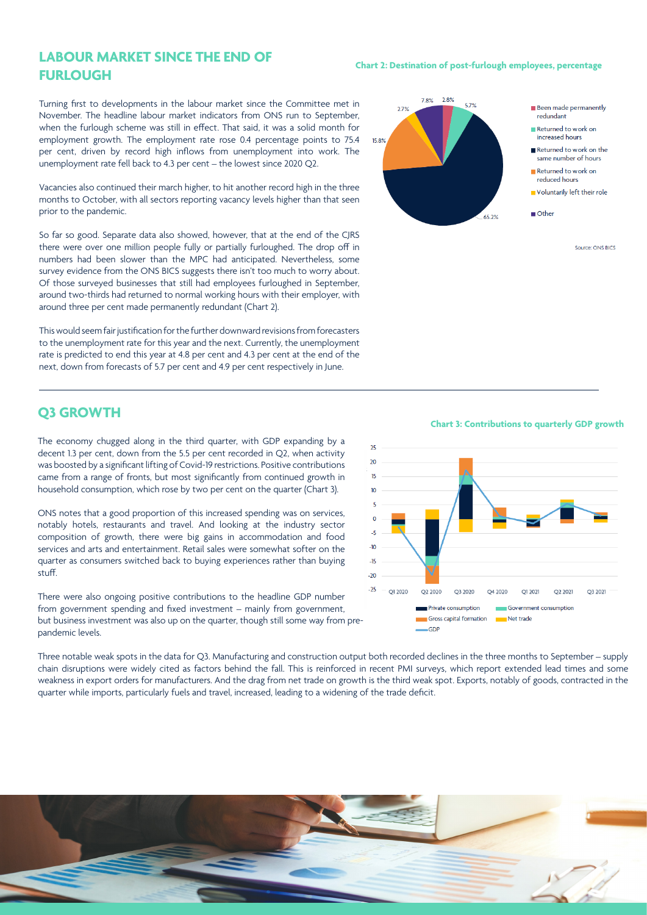#### **LABOUR MARKET SINCE THE END OF FURLOUGH**

Turning first to developments in the labour market since the Committee met in November. The headline labour market indicators from ONS run to September, when the furlough scheme was still in effect. That said, it was a solid month for employment growth. The employment rate rose 0.4 percentage points to 75.4 per cent, driven by record high inflows from unemployment into work. The unemployment rate fell back to 4.3 per cent – the lowest since 2020 Q2.

Vacancies also continued their march higher, to hit another record high in the three months to October, with all sectors reporting vacancy levels higher than that seen prior to the pandemic.

So far so good. Separate data also showed, however, that at the end of the CJRS there were over one million people fully or partially furloughed. The drop off in numbers had been slower than the MPC had anticipated. Nevertheless, some survey evidence from the ONS BICS suggests there isn't too much to worry about. Of those surveyed businesses that still had employees furloughed in September, around two-thirds had returned to normal working hours with their employer, with around three per cent made permanently redundant (Chart 2).

This would seem fair justification for the further downward revisions from forecasters to the unemployment rate for this year and the next. Currently, the unemployment rate is predicted to end this year at 4.8 per cent and 4.3 per cent at the end of the next, down from forecasts of 5.7 per cent and 4.9 per cent respectively in June.

#### **Q3 GROWTH**

The economy chugged along in the third quarter, with GDP expanding by a decent 1.3 per cent, down from the 5.5 per cent recorded in Q2, when activity was boosted by a significant lifting of Covid-19 restrictions. Positive contributions came from a range of fronts, but most significantly from continued growth in household consumption, which rose by two per cent on the quarter (Chart 3).

ONS notes that a good proportion of this increased spending was on services, notably hotels, restaurants and travel. And looking at the industry sector composition of growth, there were big gains in accommodation and food services and arts and entertainment. Retail sales were somewhat softer on the quarter as consumers switched back to buying experiences rather than buying stuff.

There were also ongoing positive contributions to the headline GDP number from government spending and fixed investment – mainly from government, but business investment was also up on the quarter, though still some way from prepandemic levels.

Three notable weak spots in the data for Q3. Manufacturing and construction output both recorded declines in the three months to September – supply chain disruptions were widely cited as factors behind the fall. This is reinforced in recent PMI surveys, which report extended lead times and some weakness in export orders for manufacturers. And the drag from net trade on growth is the third weak spot. Exports, notably of goods, contracted in the quarter while imports, particularly fuels and travel, increased, leading to a widening of the trade deficit.

#### **Chart 2: Destination of post-furlough employees, percentage**



Source: ONS BICS